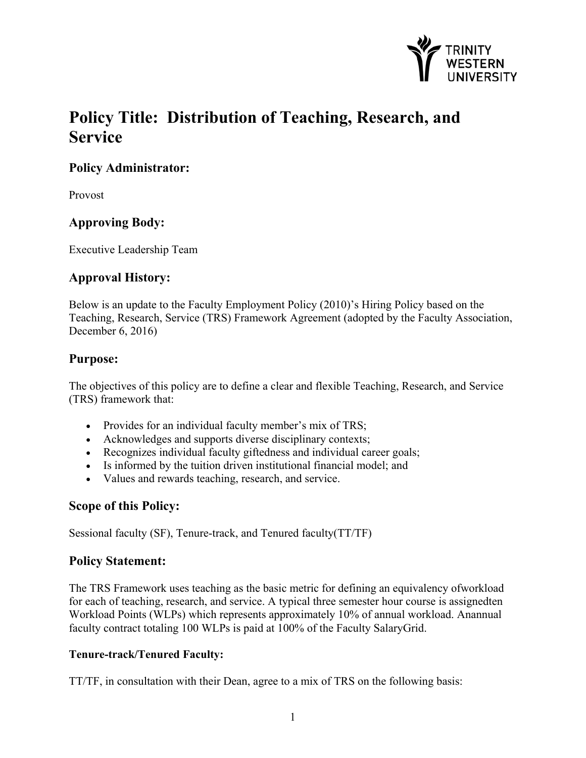

# **Policy Title: Distribution of Teaching, Research, and Service**

# **Policy Administrator:**

Provost

# **Approving Body:**

Executive Leadership Team

# **Approval History:**

Below is an update to the Faculty Employment Policy (2010)'s Hiring Policy based on the Teaching, Research, Service (TRS) Framework Agreement (adopted by the Faculty Association, December 6, 2016)

# **Purpose:**

The objectives of this policy are to define a clear and flexible Teaching, Research, and Service (TRS) framework that:

- Provides for an individual faculty member's mix of TRS;
- Acknowledges and supports diverse disciplinary contexts;
- Recognizes individual faculty giftedness and individual career goals;
- Is informed by the tuition driven institutional financial model; and
- Values and rewards teaching, research, and service.

# **Scope of this Policy:**

Sessional faculty (SF), Tenure-track, and Tenured faculty(TT/TF)

# **Policy Statement:**

The TRS Framework uses teaching as the basic metric for defining an equivalency ofworkload for each of teaching, research, and service. A typical three semester hour course is assignedten Workload Points (WLPs) which represents approximately 10% of annual workload. Anannual faculty contract totaling 100 WLPs is paid at 100% of the Faculty SalaryGrid.

#### **Tenure-track/Tenured Faculty:**

TT/TF, in consultation with their Dean, agree to a mix of TRS on the following basis: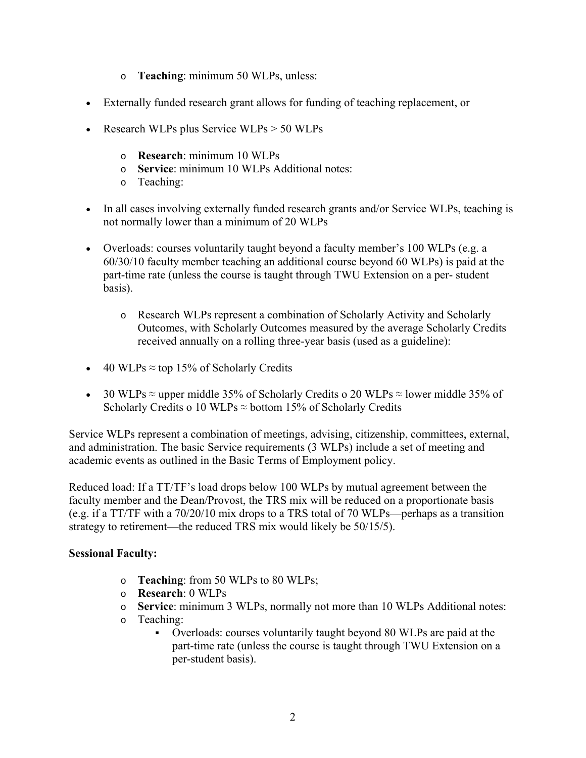- o **Teaching**: minimum 50 WLPs, unless:
- Externally funded research grant allows for funding of teaching replacement, or
- Research WLPs plus Service WLPs  $> 50$  WLPs
	- o **Research**: minimum 10 WLPs
	- o **Service**: minimum 10 WLPs Additional notes:
	- o Teaching:
- In all cases involving externally funded research grants and/or Service WLPs, teaching is not normally lower than a minimum of 20 WLPs
- Overloads: courses voluntarily taught beyond a faculty member's 100 WLPs (e.g. a 60/30/10 faculty member teaching an additional course beyond 60 WLPs) is paid at the part-time rate (unless the course is taught through TWU Extension on a per- student basis).
	- o Research WLPs represent a combination of Scholarly Activity and Scholarly Outcomes, with Scholarly Outcomes measured by the average Scholarly Credits received annually on a rolling three-year basis (used as a guideline):
- $\bullet$  40 WLPs ≈ top 15% of Scholarly Credits
- 30 WLPs  $\approx$  upper middle 35% of Scholarly Credits o 20 WLPs  $\approx$  lower middle 35% of Scholarly Credits o 10 WLPs  $\approx$  bottom 15% of Scholarly Credits

Service WLPs represent a combination of meetings, advising, citizenship, committees, external, and administration. The basic Service requirements (3 WLPs) include a set of meeting and academic events as outlined in the Basic Terms of Employment policy.

Reduced load: If a TT/TF's load drops below 100 WLPs by mutual agreement between the faculty member and the Dean/Provost, the TRS mix will be reduced on a proportionate basis (e.g. if a TT/TF with a 70/20/10 mix drops to a TRS total of 70 WLPs—perhaps as a transition strategy to retirement—the reduced TRS mix would likely be 50/15/5).

#### **Sessional Faculty:**

- o **Teaching**: from 50 WLPs to 80 WLPs;
- o **Research**: 0 WLPs
- o **Service**: minimum 3 WLPs, normally not more than 10 WLPs Additional notes:
- o Teaching:
	- Overloads: courses voluntarily taught beyond 80 WLPs are paid at the part-time rate (unless the course is taught through TWU Extension on a per-student basis).